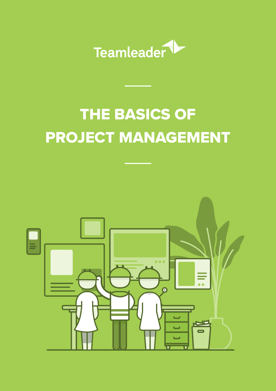

# THE BASICS OF PROJECT MANAGEMENT

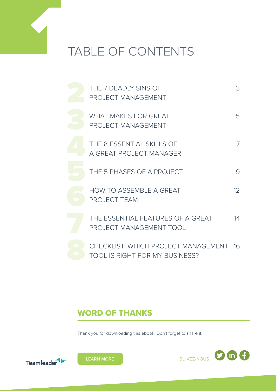

## TABLE OF CONTENTS

| THE 7 DEADLY SINS OF<br><b>PROJECT MANAGEMENT</b>                            | 3               |
|------------------------------------------------------------------------------|-----------------|
| <b>WHAT MAKES FOR GREAT</b><br><b>PROJECT MANAGEMENT</b>                     | 5               |
| THE 8 ESSENTIAL SKILLS OF<br>A GREAT PROJECT MANAGER                         |                 |
| THE 5 PHASES OF A PROJECT                                                    | 9               |
| <b>HOW TO ASSEMBLE A GREAT</b><br><b>PROJECT TEAM</b>                        | 12 <sup>°</sup> |
| THE ESSENTIAL FEATURES OF A GREAT<br>PROJECT MANAGEMENT TOOL                 | 14              |
| CHECKLIST: WHICH PROJECT MANAGEMENT<br><b>TOOL IS RIGHT FOR MY BUSINESS?</b> | 16              |

#### WORD OF THANKS

Thank you for downloading this ebook. Don't forget to share it.





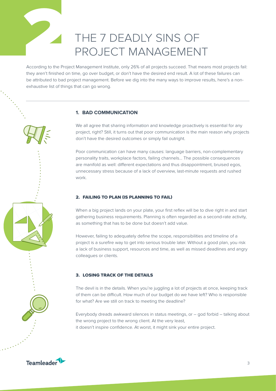<span id="page-2-0"></span>

## THE 7 DEADLY SINS OF PROJECT MANAGEMENT

According to the Project Management Institute, only 26% of all projects succeed. That means most projects fail: they aren't finished on time, go over budget, or don't have the desired end result. A lot of these failures can be attributed to bad project management. Before we dig into the many ways to improve results, here's a nonexhaustive list of things that can go wrong.

#### **1. BAD COMMUNICATION**

We all agree that sharing information and knowledge proactively is essential for any project, right? Still, it turns out that poor communication is the main reason why projects don't have the desired outcomes or simply fail outright.

Poor communication can have many causes: language barriers, non-complementary personality traits, workplace factors, failing channels… The possible consequences are manifold as well: different expectations and thus disappointment, bruised egos, unnecessary stress because of a lack of overview, last-minute requests and rushed work.

#### 2. FAILING TO PLAN (IS PLANNING TO FAIL)

When a big project lands on your plate, your first reflex will be to dive right in and start gathering business requirements. Planning is often regarded as a second-rate activity, as something that has to be done but doesn't add value.

However, failing to adequately define the scope, responsibilities and timeline of a project is a surefire way to get into serious trouble later. Without a good plan, you risk a lack of business support, resources and time, as well as missed deadlines and angry colleagues or clients.

#### 3. LOSING TRACK OF THE DETAILS

The devil is in the details. When you're juggling a lot of projects at once, keeping track of them can be difficult. How much of our budget do we have left? Who is responsible for what? Are we still on track to meeting the deadline?

Everybody dreads awkward silences in status meetings, or – god forbid – talking about the wrong project to the wrong client. At the very least, it doesn't inspire confidence. At worst, it might sink your entire project.

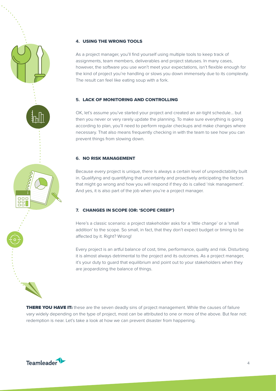

As a project manager, you'll find yourself using multiple tools to keep track of assignments, team members, deliverables and project statuses. In many cases, however, the software you use won't meet your expectations, isn't flexible enough for the kind of project you're handling or slows you down immensely due to its complexity. The result can feel like eating soup with a fork.

#### **5.** LACK OF MONITORING AND CONTROLLING

OK, let's assume you've started your project and created an air-tight schedule… but then you never or very rarely update the planning. To make sure everything is going according to plan, you'll need to perform regular checkups and make changes where necessary. That also means frequently checking in with the team to see how you can prevent things from slowing down.

#### **6.** NO RISK MANAGEMENT

Because every project is unique, there is always a certain level of unpredictability built in. Qualifying and quantifying that uncertainty and proactively anticipating the factors that might go wrong and how you will respond if they do is called 'risk management'. And yes, it is also part of the job when you're a project manager.

#### **7.** CHANGES IN SCOPE (OR: 'SCOPE CREEP')

Here's a classic scenario: a project stakeholder asks for a 'little change' or a 'small addition' to the scope. So small, in fact, that they don't expect budget or timing to be affected by it. Right? Wrong!

Every project is an artful balance of cost, time, performance, quality and risk. Disturbing it is almost always detrimental to the project and its outcomes. As a project manager, it's your duty to guard that equilibrium and point out to your stakeholders when they are jeopardizing the balance of things.

**THERE YOU HAVE IT:** these are the seven deadly sins of project management. While the causes of failure vary widely depending on the type of project, most can be attributed to one or more of the above. But fear not: redemption is near. Let's take a look at how we can prevent disaster from happening.



88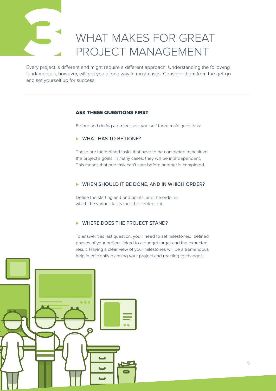# WHAT MAKES FOR GREAT PROJECT MANAGEMENT

<span id="page-4-0"></span>Every project is diff<br>fundamentals, how Every project is different and might require a different approach. Understanding the following fundamentals, however, will get you a long way in most cases. Consider them from the get-go and set yourself up for success.

#### ASK THESE QUESTIONS FIRST

Before and during a project, ask yourself three main questions:

#### ► WHAT HAS TO BE DONE?

These are the defined tasks that have to be completed to achieve the project's goals. In many cases, they will be interdependent. This means that one task can't start before another is completed.

#### ► WHEN SHOULD IT BE DONE, AND IN WHICH ORDER?

Define the starting and end points, and the order in which the various tasks must be carried out.

#### ► WHERE DOES THE PROJECT STAND?

To answer this last question, you'll need to set milestones: defined phases of your project linked to a budget target and the expected result. Having a clear view of your milestones will be a tremendous help in efficiently planning your project and reacting to changes.

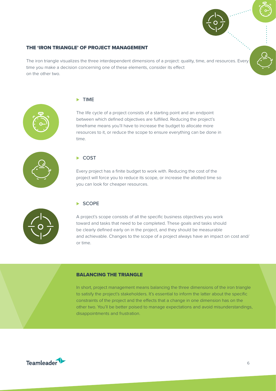

#### THE 'IRON TRIANGLE' OF PROJECT MANAGEMENT

The iron triangle visualizes the three interdependent dimensions of a project: quality, time, and resources. Every time you make a decision concerning one of these elements, consider its effect on the other two.



#### ⊲ TIME

The life cycle of a project consists of a starting point and an endpoint between which defined objectives are fulfilled. Reducing the project's timeframe means you'll have to increase the budget to allocate more resources to it, or reduce the scope to ensure everything can be done in time.



#### ► COST

Every project has a finite budget to work with. Reducing the cost of the project will force you to reduce its scope, or increase the allotted time so you can look for cheaper resources.



#### ⊲ SCOPE

A project's scope consists of all the specific business objectives you work toward and tasks that need to be completed. These goals and tasks should be clearly defined early on in the project, and they should be measurable and achievable. Changes to the scope of a project always have an impact on cost and/ or time.

#### BALANCING THE TRIANGLE

In short, project management means balancing the three dimensions of the iron triangle to satisfy the project's stakeholders. It's essential to inform the latter about the specific constraints of the project and the effects that a change in one dimension has on the other two. You'll be better poised to manage expectations and avoid misunderstandings, disappointments and frustration.

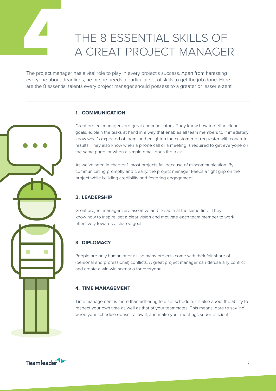<span id="page-6-0"></span>

# THE 8 ESSENTIAL SKILLS OF<br>A GREAT PROJECT MANAGER<br>The project manager has a vital role to play in every project's success. Apart from harassing A GREAT PROJECT MANAGER

The project manager has a vital role to play in every project's success. Apart from harassing everyone about deadlines, he or she needs a particular set of skills to get the job done. Here are the 8 essential talents every project manager should possess to a greater or lesser extent.

#### **1. COMMUNICATION**

Great project managers are great communicators. They know how to define clear goals, explain the tasks at hand in a way that enables all team members to immediately know what's expected of them, and enlighten the customer or requester with concrete results. They also know when a phone call or a meeting is required to get everyone on the same page, or when a simple email does the trick.

As we've seen in chapter 1, most projects fail because of miscommunication. By communicating promptly and clearly, the project manager keeps a tight grip on the project while building credibility and fostering engagement.

#### **2. LEADERSHIP**

Great project managers are assertive and likeable at the same time. They know how to inspire, set a clear vision and motivate each team member to work effectively towards a shared goal.

#### **3. DIPLOMACY**

People are only human after all, so many projects come with their fair share of (personal and professional) conflicts. A great project manager can defuse any conflict and create a win-win scenario for everyone.

#### **4. TIME MANAGEMENT**

Time management is more than adhering to a set schedule. It's also about the ability to respect your own time as well as that of your teammates. This means: dare to say 'no' when your schedule doesn't allow it, and make your meetings super-efficient.

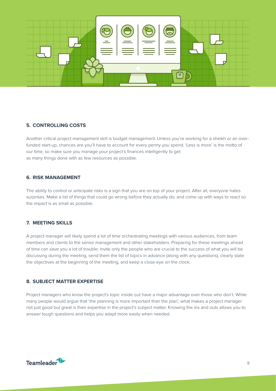

#### **5. CONTROLLING COSTS**

Another critical project management skill is budget management. Unless you're working for a sheikh or an overfunded start-up, chances are you'll have to account for every penny you spend. 'Less is more' is the motto of our time, so make sure you manage your project's finances intelligently to get as many things done with as few resources as possible.

#### **6. RISK MANAGEMENT**

The ability to control or anticipate risks is a sign that you are on top of your project. After all, everyone hates surprises. Make a list of things that could go wrong before they actually do, and come up with ways to react so the impact is as small as possible.

#### **7. MEETING SKILLS**

A project manager will likely spend a lot of time orchestrating meetings with various audiences, from team members and clients to the senior management and other stakeholders. Preparing for these meetings ahead of time can save you a lot of trouble: invite only the people who are crucial to the success of what you will be discussing during the meeting, send them the list of topics in advance (along with any questions), clearly state the objectives at the beginning of the meeting, and keep a close eye on the clock.

#### **8. SUBJECT MATTER EXPERTISE**

Project managers who know the project's topic inside out have a major advantage over those who don't. While many people would argue that 'the planning is more important than the plan', what makes a project manager not just good but great is their expertise in the project's subject matter. Knowing the ins and outs allows you to answer tough questions and helps you adapt more easily when needed.

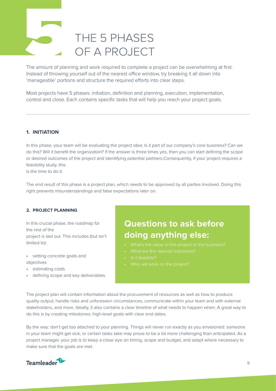# <span id="page-8-0"></span>The amount of planet<br>
Instead of throwing THE 5 PHASES OF A PROJECT

The amount of planning and work required to complete a project can be overwhelming at first. Instead of throwing yourself out of the nearest office window, try breaking it all down into 'manageable' portions and structure the required efforts into clear steps.

Most projects have 5 phases: initiation, definition and planning, execution, implementation, control and close. Each contains specific tasks that will help you reach your project goals.

#### **1. INITIATION**

In this phase, your team will be evaluating the project idea: Is it part of our company's core business? Can we do this? Will it benefit the organization? If the answer is three times yes, then you can start defining the scope or desired outcomes of the project and identifying potential partners.Consequently, if your project requires a feasibility study, this

is the time to do it.

The end result of this phase is a project plan, which needs to be approved by all parties involved. Doing this right prevents misunderstandings and false expectations later on.

#### **2. PROJECT PLANNING**

In this crucial phase, the roadmap for the rest of the project is laid out. This includes (but isn't limited to):

• setting concrete goals and objectives

- estimating costs
- defining scope and key deliverables

#### **Questions to ask before doing anything else:**

- 
- 
- Is it feasible?
- 

The project plan will contain information about the procurement of resources as well as how to produce quality output, handle risks and unforeseen circumstances, communicate within your team and with external stakeholders, and more. Ideally, it also contains a clear timeline of what needs to happen when. A great way to do this is by creating milestones: high-level goals with clear end dates.

By the way: don't get too attached to your planning. Things will never run exactly as you envisioned: someone in your team might get sick, or certain tasks take may prove to be a lot more challenging than anticipated. As a project manager, your job is to keep a close eye on timing, scope and budget, and adapt where necessary to make sure that the goals are met.

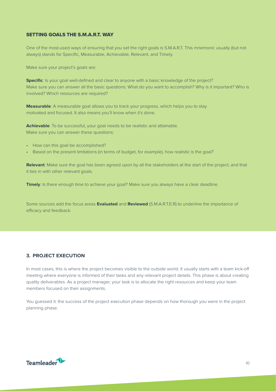#### SETTING GOALS THE S.M.A.R.T. WAY

One of the most-used ways of ensuring that you set the right goals is S.M.A.R.T. This mnemonic usually (but not always) stands for Specific, Measurable, Achievable, Relevant, and Timely.

Make sure your project's goals are:

**Specific**: Is your goal well-defined and clear to anyone with a basic knowledge of the project? Make sure you can answer all the basic questions: What do you want to accomplish? Why is it important? Who is involved? Which resources are required?

**Measurable**: A measurable goal allows you to track your progress, which helps you to stay motivated and focused. It also means you'll know when it's done.

**Achievable**: To be successful, your goal needs to be realistic and attainable. Make sure you can answer these questions:

- How can this goal be accomplished?
- Based on the present limitations (in terms of budget, for example), how realistic is the goal?

**Relevant**: Make sure the goal has been agreed upon by all the stakeholders at the start of the project, and that it ties in with other relevant goals.

**Timely**: Is there enough time to achieve your goal? Make sure you always have a clear deadline.

Some sources add the focus areas **Evaluated** and **Reviewed** (S.M.A.R.T.E.R) to underline the importance of efficacy and feedback.

#### **3. PROJECT EXECUTION**

In most cases, this is where the project becomes visible to the outside world. It usually starts with a team kick-off meeting where everyone is informed of their tasks and any relevant project details. This phase is about creating quality deliverables. As a project manager, your task is to allocate the right resources and keep your team members focused on their assignments.

You guessed it: the success of the project execution phase depends on how thorough you were in the project planning phase.

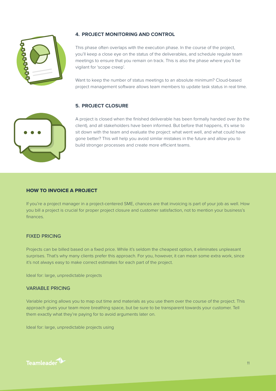

#### **4. PROJECT MONITORING AND CONTROL**

This phase often overlaps with the execution phase. In the course of the project, you'll keep a close eye on the status of the deliverables, and schedule regular team meetings to ensure that you remain on track. This is also the phase where you'll be vigilant for 'scope creep'.

Want to keep the number of status meetings to an absolute minimum? Cloud-based project management software allows team members to update task status in real time.

#### **5. PROJECT CLOSURE**

A project is closed when the finished deliverable has been formally handed over (to the client), and all stakeholders have been informed. But before that happens, it's wise to sit down with the team and evaluate the project: what went well, and what could have gone better? This will help you avoid similar mistakes in the future and allow you to build stronger processes and create more efficient teams.



If you're a project manager in a project-centered SME, chances are that invoicing is part of your job as well. How you bill a project is crucial for proper project closure and customer satisfaction, not to mention your business's finances.

#### FIXED PRICING

Projects can be billed based on a fixed price. While it's seldom the cheapest option, it eliminates unpleasant surprises. That's why many clients prefer this approach. For you, however, it can mean some extra work, since it's not always easy to make correct estimates for each part of the project.

Ideal for: large, unpredictable projects

#### VARIABLE PRICING

Variable pricing allows you to map out time and materials as you use them over the course of the project. This approach gives your team more breathing space, but be sure to be transparent towards your customer. Tell them exactly what they're paying for to avoid arguments later on.

Ideal for: large, unpredictable projects using

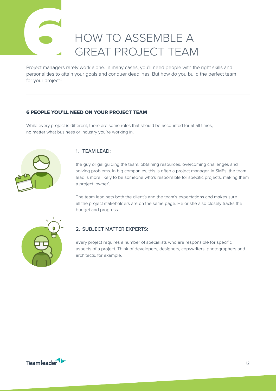## HOW TO ASSEMBLE A GREAT PROJECT TEAM

<span id="page-11-0"></span>Project managers representatives Project managers rarely work alone. In many cases, you'll need people with the right skills and personalities to attain your goals and conquer deadlines. But how do you build the perfect team for your project?

#### 6 PEOPLE YOU'LL NEED ON YOUR PROJECT TEAM

While every project is different, there are some roles that should be accounted for at all times, no matter what business or industry you're working in.



#### 1. TEAM LEAD:

the guy or gal guiding the team, obtaining resources, overcoming challenges and solving problems. In big companies, this is often a project manager. In SMEs, the team lead is more likely to be someone who's responsible for specific projects, making them a project 'owner'.

The team lead sets both the client's and the team's expectations and makes sure all the project stakeholders are on the same page. He or she also closely tracks the budget and progress.



#### 2. SUBJECT MATTER EXPERTS:

every project requires a number of specialists who are responsible for specific aspects of a project. Think of developers, designers, copywriters, photographers and architects, for example.

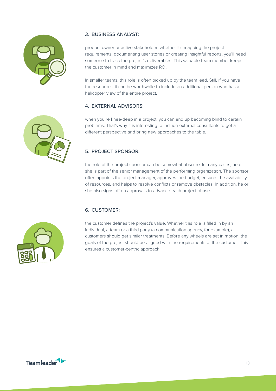

#### 3. BUSINESS ANALYST:

product owner or active stakeholder: whether it's mapping the project requirements, documenting user stories or creating insightful reports, you'll need someone to track the project's deliverables. This valuable team member keeps the customer in mind and maximizes ROI.

In smaller teams, this role is often picked up by the team lead. Still, if you have the resources, it can be worthwhile to include an additional person who has a helicopter view of the entire project.

#### 4. EXTERNAL ADVISORS:

when you're knee-deep in a project, you can end up becoming blind to certain problems. That's why it is interesting to include external consultants to get a different perspective and bring new approaches to the table.

#### 5. PROJECT SPONSOR:

the role of the project sponsor can be somewhat obscure. In many cases, he or she is part of the senior management of the performing organization. The sponsor often appoints the project manager, approves the budget, ensures the availability of resources, and helps to resolve conflicts or remove obstacles. In addition, he or she also signs off on approvals to advance each project phase.

#### 6. CUSTOMER:



the customer defines the project's value. Whether this role is filled in by an individual, a team or a third party (a communication agency, for example), all customers should get similar treatments. Before any wheels are set in motion, the goals of the project should be aligned with the requirements of the customer. This ensures a customer-centric approach.

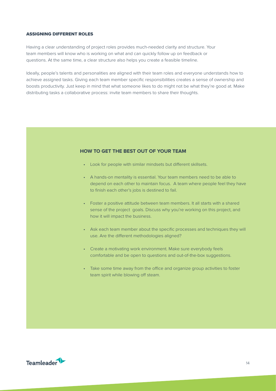#### <span id="page-13-0"></span>ASSIGNING DIFFERENT ROLES

Having a clear understanding of project roles provides much-needed clarity and structure. Your team members will know who is working on what and can quickly follow up on feedback or questions. At the same time, a clear structure also helps you create a feasible timeline.

Ideally, people's talents and personalities are aligned with their team roles and everyone understands how to achieve assigned tasks. Giving each team member specific responsibilities creates a sense of ownership and boosts productivity. Just keep in mind that what someone likes to do might not be what they're good at. Make distributing tasks a collaborative process: invite team members to share their thoughts.

#### **HOW TO GET THE BEST OUT OF YOUR TEAM**

- Look for people with similar mindsets but different skillsets.
- A hands-on mentality is essential. Your team members need to be able to depend on each other to maintain focus. A team where people feel they have to finish each other's jobs is destined to fail.
- Foster a positive attitude between team members. It all starts with a shared sense of the project goals. Discuss why you're working on this project, and how it will impact the business.
- Ask each team member about the specific processes and techniques they will use. Are the different methodologies aligned?
- Create a motivating work environment. Make sure everybody feels comfortable and be open to questions and out-of-the-box suggestions.
- Take some time away from the office and organize group activities to foster team spirit while blowing off steam.

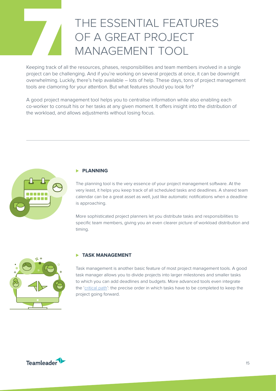# THE ESSENTIAL FEATURES<br>
OF A GREAT PROJECT<br>
MANAGEMENT TOOL<br>
Keeping track of all the resources, phases, responsibilities and team members involved in<br>
project can be challenging. And if you're working on several projects OF A GREAT PROJECT MANAGEMENT TOOL

Keeping track of all the resources, phases, responsibilities and team members involved in a single project can be challenging. And if you're working on several projects at once, it can be downright overwhelming. Luckily, there's help available – lots of help. These days, tons of project management tools are clamoring for your attention. But what features should you look for?

A good project management tool helps you to centralise information while also enabling each co-worker to consult his or her tasks at any given moment. It offers insight into the distribution of the workload, and allows adjustments without losing focus.



#### ⊲ **PLANNING**

The planning tool is the very essence of your project management software. At the very least, it helps you keep track of all scheduled tasks and deadlines. A shared team calendar can be a great asset as well, just like automatic notifications when a deadline is approaching.

More sophisticated project planners let you distribute tasks and responsibilities to specific team members, giving you an even clearer picture of workload distribution and timing.



#### ⊲ **TASK MANAGEMENT**

Task management is another basic feature of most project management tools. A good task manager allows you to divide projects into larger milestones and smaller tasks to which you can add deadlines and budgets. More advanced tools even integrate the ['critical path](https://blog.teamleader.eu/be-a-more-efficient-project-manager-thanks-to-the-critical-path)': the precise order in which tasks have to be completed to keep the project going forward.

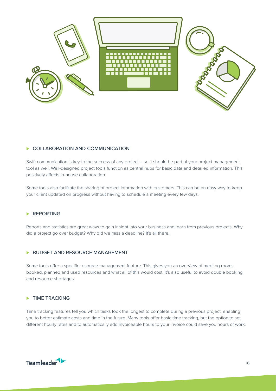<span id="page-15-0"></span>

#### ▶ COLLABORATION AND COMMUNICATION

Swift communication is key to the success of any project – so it should be part of your project management tool as well. Well-designed project tools function as central hubs for basic data and detailed information. This positively affects in-house collaboration.

Some tools also facilitate the sharing of project information with customers. This can be an easy way to keep your client updated on progress without having to schedule a meeting every few days.

#### ▶ REPORTING

Reports and statistics are great ways to gain insight into your business and learn from previous projects. Why did a project go over budget? Why did we miss a deadline? It's all there.

#### ▶ BUDGET AND RESOURCE MANAGEMENT

Some tools offer a specific resource management feature. This gives you an overview of meeting rooms booked, planned and used resources and what all of this would cost. It's also useful to avoid double booking and resource shortages.

#### ⊲ TIME TRACKING

Time tracking features tell you which tasks took the longest to complete during a previous project, enabling you to better estimate costs and time in the future. Many tools offer basic time tracking, but the option to set different hourly rates and to automatically add invoiceable hours to your invoice could save you hours of work.

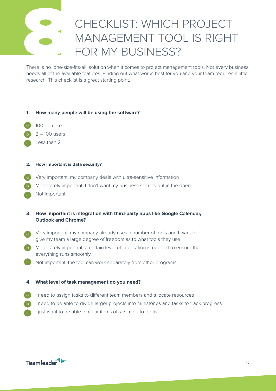# There is no 'one-size

## CHECKLIST: WHICH PROJECT MANAGEMENT TOOL IS RIGHT FOR MY BUSINESS?

There is no 'one-size-fits-all' solution when it comes to project management tools. Not every business needs all of the available features. Finding out what works best for you and your team requires a little research. This checklist is a great starting point.

#### **1. How many people will be using the software?**

- a 100 or more
- b 2 – 100 users
- c Less than 2

#### **2. How important is data security?**

- a Very important: my company deals with ultra-sensitive information
- b Moderately important: I don't want my business secrets out in the open
- c Not important
- **3. How important is integration with third-party apps like Google Calendar, Outlook and Chrome?**
- Very important: my company already uses a number of tools and I want to give my team a large degree of freedom as to what tools they use
- b Moderately important: a certain level of integration is needed to ensure that everything runs smoothly
- c Not important: the tool can work separately from other programs

#### **4. What level of task management do you need?**

- a I need to assign tasks to different team members and allocate resources
- b I need to be able to divide larger projects into milestones and tasks to track progress
- c I just want to be able to clear items off a simple to-do list

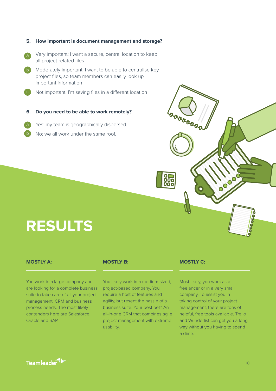b Moderately important: I want to be able to centralise key c Very important: I want a secure, central location to keep all project-related files project files, so team members can easily look up important information Not important: I'm saving files in a different location

**5. How important is document management and storage?**

- **6. Do you need to be able to work remotely?**
- Yes: my team is geographically dispersed.
- No: we all work under the same roof.

# **RESULTS**

#### **MOSTLY A:**

b

You work in a large company and are looking for a complete business suite to take care of all your project management, CRM and business process needs. The most likely contenders here are Salesforce, Oracle and SAP.

#### **MOSTLY B:**

You likely work in a medium-sized, project-based company. You require a host of features and agility, but resent the hassle of a business suite. Your best bet? An all-in-one CRM that combines agile project management with extreme usability.

#### **MOSTLY C:**

000<br>000

Most likely, you work as a freelancer or in a very small company. To assist you in taking control of your project management, there are tons of helpful, free tools available. Trello and Wunderlist can get you a long way without you having to spend a dime.

**COO** 

**COODOOOO**